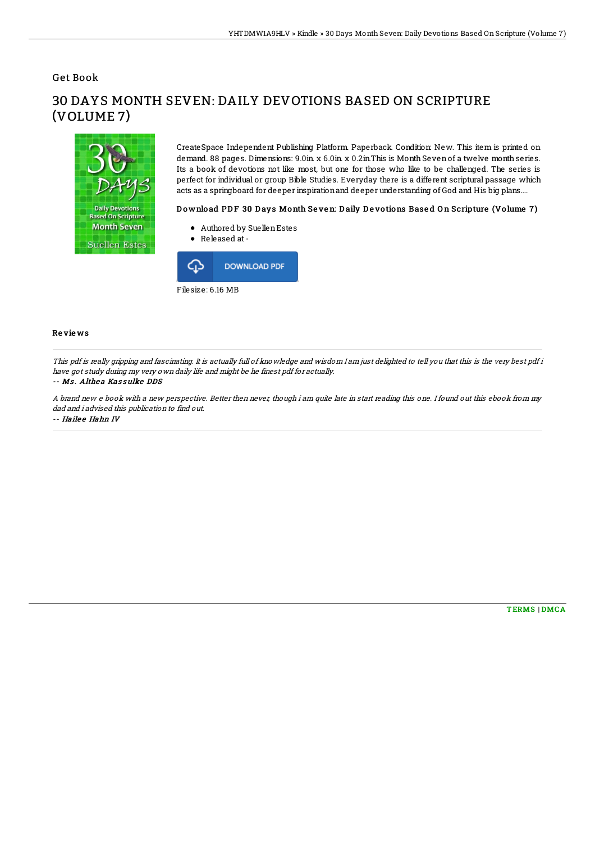Get Book



30 DAYS MONTH SEVEN: DAILY DEVOTIONS BASED ON SCRIPTURE (VOLUME 7)

> CreateSpace Independent Publishing Platform. Paperback. Condition: New. This item is printed on demand. 88 pages. Dimensions: 9.0in. x 6.0in. x 0.2in.This is Month Sevenof a twelve month series. Its a book of devotions not like most, but one for those who like to be challenged. The series is perfect for individual or group Bible Studies. Everyday there is a different scriptural passage which acts as a springboard for deeper inspirationand deeper understanding of God and His big plans....

## Download PDF 30 Days Month Seven: Daily Devotions Based On Scripture (Volume 7)

- Authored by SuellenEstes
- Released at-



## Re vie ws

This pdf is really gripping and fascinating. It is actually full of knowledge and wisdom I am just delighted to tell you that this is the very best pdf i have got study during my very own daily life and might be he finest pdf for actually.

## -- Ms. Althea Kassulke DDS

A brand new <sup>e</sup> book with <sup>a</sup> new perspective. Better then never, though i am quite late in start reading this one. I found out this ebook from my dad and i advised this publication to find out.

-- Hailee Hahn IV